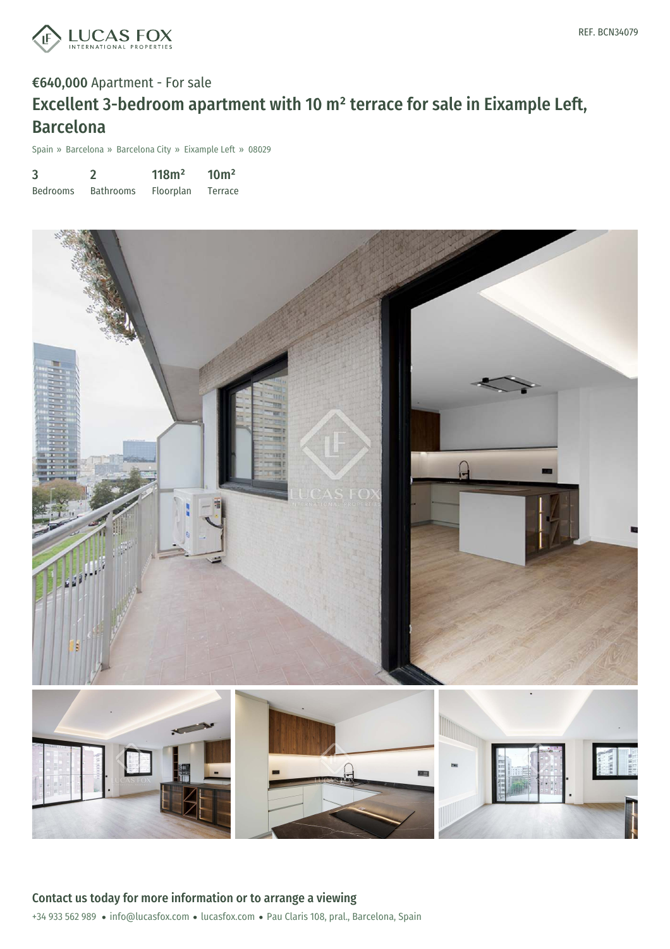

## €640,000 Apartment - For sale Excellent 3-bedroom apartment with 10 m² terrace for sale in Eixample Left, Barcelona

Spain » Barcelona » Barcelona City » Eixample Left » 08029

| 3               |                  | 118m <sup>2</sup> | 10 <sup>m²</sup> |
|-----------------|------------------|-------------------|------------------|
| <b>Bedrooms</b> | <b>Bathrooms</b> | Floorplan         | Terrace          |

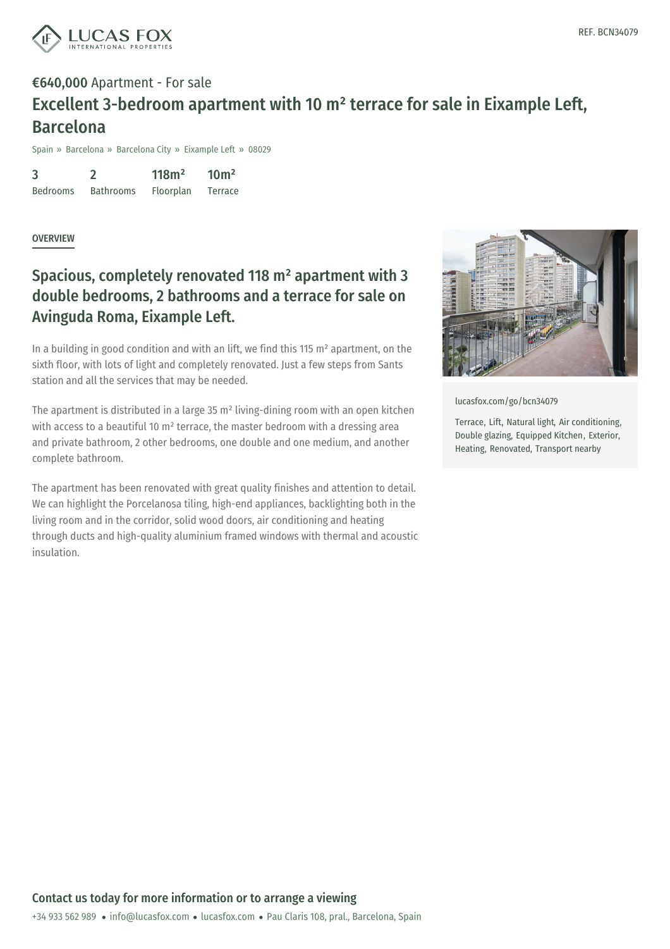

## €640,000 Apartment - For sale Excellent 3-bedroom apartment with 10 m² terrace for sale in Eixample Left, Barcelona

Spain » Barcelona » Barcelona City » Eixample Left » 08029

3 Bedrooms 2 Bathrooms 118m² Floorplan  $10<sup>m²</sup>$ Terrace

**OVERVIEW** 

## Spacious, completely renovated 118 m² apartment with 3 double bedrooms, 2 bathrooms and a terrace for sale on Avinguda Roma, Eixample Left.

In a building in good condition and with an lift, we find this 115 m<sup>2</sup> apartment, on the sixth floor, with lots of light and completely renovated. Just a few steps from Sants station and all the services that may be needed.

The apartment is distributed in a large 35 m² living-dining room with an open kitchen with access to a beautiful 10 m<sup>2</sup> terrace, the master bedroom with a dressing area and private bathroom, 2 other bedrooms, one double and one medium, and another complete bathroom.

The apartment has been renovated with great quality finishes and attention to detail. We can highlight the Porcelanosa tiling, high-end appliances, backlighting both in the living room and in the corridor, solid wood doors, air conditioning and heating through ducts and high-quality aluminium framed windows with thermal and acoustic insulation.



[lucasfox.com/go/bcn34079](https://www.lucasfox.com/go/bcn34079)

Terrace, Lift, Natural light, Air conditioning, Double glazing, Equipped Kitchen, Exterior, Heating, Renovated, Transport nearby